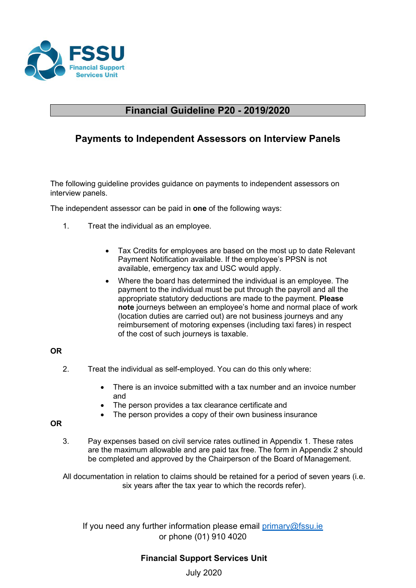

# **Financial Guideline P20 - 2019/2020**

# **Payments to Independent Assessors on Interview Panels**

The following guideline provides guidance on payments to independent assessors on interview panels.

The independent assessor can be paid in **one** of the following ways:

- 1. Treat the individual as an employee.
	- Tax Credits for employees are based on the most up to date Relevant Payment Notification available. If the employee's PPSN is not available, emergency tax and USC would apply.
	- Where the board has determined the individual is an employee. The payment to the individual must be put through the payroll and all the appropriate statutory deductions are made to the payment. **Please note** journeys between an employee's home and normal place of work (location duties are carried out) are not business journeys and any reimbursement of motoring expenses (including taxi fares) in respect of the cost of such journeys is taxable.

### **OR**

- 2. Treat the individual as self-employed. You can do this only where:
	- There is an invoice submitted with a tax number and an invoice number and
	- The person provides a tax clearance certificate and
	- The person provides a copy of their own business insurance

### **OR**

3. Pay expenses based on civil service rates outlined in Appendix 1. These rates are the maximum allowable and are paid tax free. The form in Appendix 2 should be completed and approved by the Chairperson of the Board of Management.

All documentation in relation to claims should be retained for a period of seven years (i.e. six years after the tax year to which the records refer).

If you need any further information please email  $\frac{\text{primary@fssu.ie}}{\text{sumay@fssu.ie}}$ or phone (01) 910 4020

### **Financial Support Services Unit**

July 2020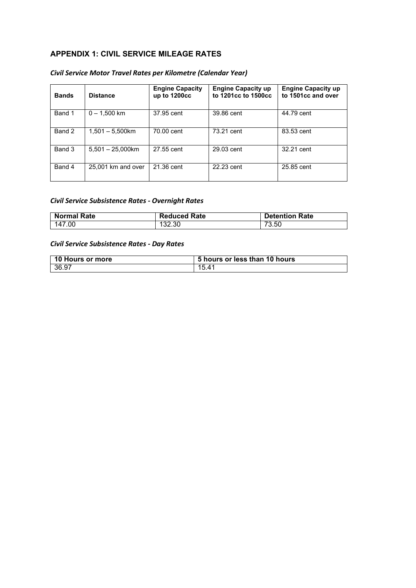### **APPENDIX 1: CIVIL SERVICE MILEAGE RATES**

### *Civil Service Motor Travel Rates per Kilometre (Calendar Year)*

| <b>Bands</b> | <b>Distance</b>     | <b>Engine Capacity</b><br>up to $1200cc$ | <b>Engine Capacity up</b><br>to 1201cc to 1500cc | <b>Engine Capacity up</b><br>to 1501cc and over |
|--------------|---------------------|------------------------------------------|--------------------------------------------------|-------------------------------------------------|
| Band 1       | $0 - 1.500$ km      | 37.95 cent                               | 39.86 cent                                       | 44.79 cent                                      |
| Band 2       | $1,501 - 5,500$ km  | 70.00 cent                               | 73.21 cent                                       | 83.53 cent                                      |
| Band 3       | $5.501 - 25.000$ km | 27.55 cent                               | 29.03 cent                                       | 32.21 cent                                      |
| Band 4       | 25,001 km and over  | 21.36 cent                               | 22.23 cent                                       | 25.85 cent                                      |

#### *Civil Service Subsistence Rates - Overnight Rates*

| <b>Normal Rate</b> | <b>Reduced Rate</b> | <b>Detention Rate</b> |
|--------------------|---------------------|-----------------------|
| 147.00             | 132.30              | 73.50                 |

#### *Civil Service Subsistence Rates - Day Rates*

| 10 Hours or more | 5 hours or less than 10 hours |
|------------------|-------------------------------|
| 36.97            | 15.41                         |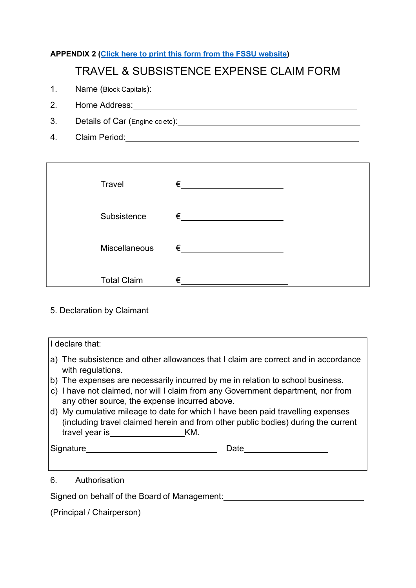# **APPENDIX 2 [\(Click here to print this form from the FSSU website\)](https://www.fssu.ie/app/uploads/2017/12/Travel-Subsistence-Claim-Form.pdf)**

# TRAVEL & SUBSISTENCE EXPENSE CLAIM FORM

- 1. Name (Block Capitals):
- 2. Home Address: Management Control of Texas and Texas and Texas and Texas and Texas and Texas and Texas and Texas and Texas and Texas and Texas and Texas and Texas and Texas and Texas and Texas and Texas and Texas and Tex
- 3. Details of Car (Engine cc etc):
- 4. Claim Period:

| Travel             | € |  |
|--------------------|---|--|
| Subsistence        | € |  |
| Miscellaneous      | € |  |
| <b>Total Claim</b> | € |  |

### 5. Declaration by Claimant

| I declare that:                                                                                                                                                                                |  |  |
|------------------------------------------------------------------------------------------------------------------------------------------------------------------------------------------------|--|--|
| a) The subsistence and other allowances that I claim are correct and in accordance<br>with regulations.                                                                                        |  |  |
| b) The expenses are necessarily incurred by me in relation to school business.                                                                                                                 |  |  |
| c) I have not claimed, nor will I claim from any Government department, nor from<br>any other source, the expense incurred above.                                                              |  |  |
| d) My cumulative mileage to date for which I have been paid travelling expenses<br>(including travel claimed herein and from other public bodies) during the current<br>travel year is The KM. |  |  |
| Signature<br>Date                                                                                                                                                                              |  |  |
|                                                                                                                                                                                                |  |  |

# 6. Authorisation

Signed on behalf of the Board of Management:<br>
Signed on behalf of the Board of Management:

(Principal / Chairperson)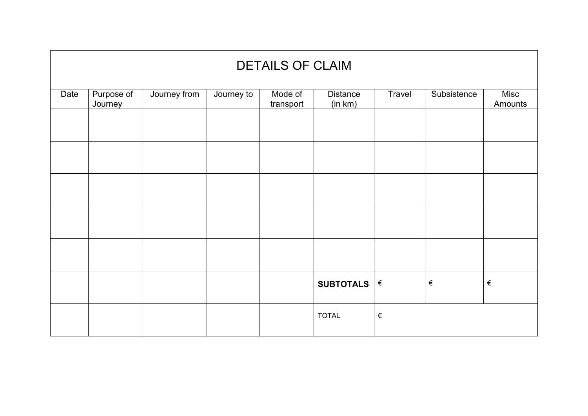| <b>DETAILS OF CLAIM</b> |                       |              |            |                      |                            |        |             |                 |
|-------------------------|-----------------------|--------------|------------|----------------------|----------------------------|--------|-------------|-----------------|
| Date                    | Purpose of<br>Journey | Journey from | Journey to | Mode of<br>transport | <b>Distance</b><br>(in km) | Travel | Subsistence | Misc<br>Amounts |
|                         |                       |              |            |                      |                            |        |             |                 |
|                         |                       |              |            |                      |                            |        |             |                 |
|                         |                       |              |            |                      |                            |        |             |                 |
|                         |                       |              |            |                      |                            |        |             |                 |
|                         |                       |              |            |                      |                            |        |             |                 |
|                         |                       |              |            |                      | SUBTOTALS                  | $\in$  | $\in$       | $\in$           |
|                         |                       |              |            |                      | <b>TOTAL</b>               | $\in$  |             |                 |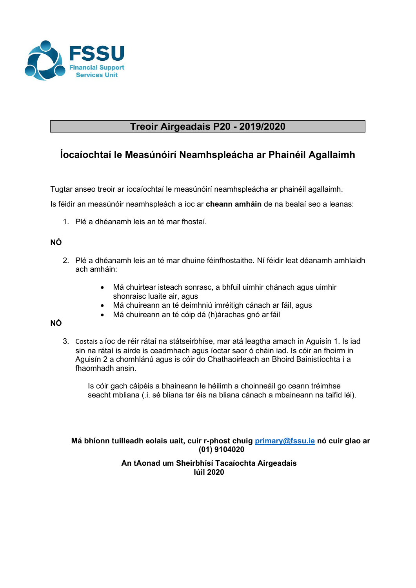

# **Treoir Airgeadais P20 - 2019/2020**

# **Íocaíochtaí le Measúnóirí Neamhspleácha ar Phainéil Agallaimh**

Tugtar anseo treoir ar íocaíochtaí le measúnóirí neamhspleácha ar phainéil agallaimh.

Is féidir an measúnóir neamhspleách a íoc ar **cheann amháin** de na bealaí seo a leanas:

1. Plé a dhéanamh leis an té mar fhostaí.

### **NÓ**

- 2. Plé a dhéanamh leis an té mar dhuine féinfhostaithe. Ní féidir leat déanamh amhlaidh ach amháin:
	- Má chuirtear isteach sonrasc, a bhfuil uimhir chánach agus uimhir shonraisc luaite air, agus
	- Má chuireann an té deimhniú imréitigh cánach ar fáil, agus
	- Má chuireann an té cóip dá (h)árachas gnó ar fáil

### **NÓ**

3. Costais a íoc de réir rátaí na státseirbhíse, mar atá leagtha amach in Aguisín 1. Is iad sin na rátaí is airde is ceadmhach agus íoctar saor ó cháin iad. Is cóir an fhoirm in Aguisín 2 a chomhlánú agus is cóir do Chathaoirleach an Bhoird Bainistíochta í a fhaomhadh ansin.

Is cóir gach cáipéis a bhaineann le héilimh a choinneáil go ceann tréimhse seacht mbliana (.i. sé bliana tar éis na bliana cánach a mbaineann na taifid léi).

**Má bhíonn tuilleadh eolais uait, cuir r-phost chuig [primary@fssu.ie](mailto:primary@fssu.ie) nó cuir glao ar (01) 9104020**

### **An tAonad um Sheirbhísí Tacaíochta Airgeadais Iúil 2020**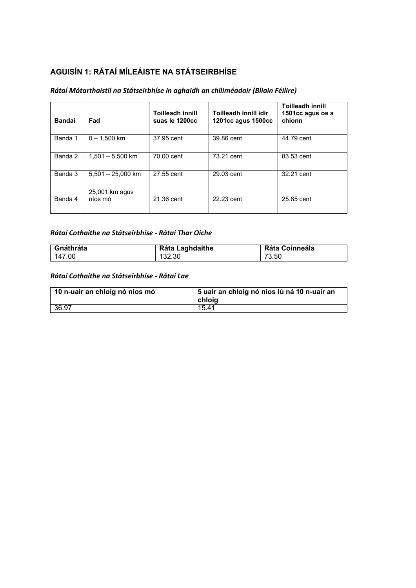# **AGUISÍN 1: RÁTAÍ MÍLEÁISTE NA STÁTSEIRBHÍSE**

#### *Rátaí Mótarthaistil na Státseirbhíse in aghaidh an chiliméadair (Bliain Féilire)*

| <b>Bandaí</b> | Fad                       | <b>Toilleadh innill</b><br>suas le 1200cc | Toilleadh innill idir<br>1201cc agus 1500cc | <b>Toilleadh innill</b><br>1501cc agus os a<br>chionn |
|---------------|---------------------------|-------------------------------------------|---------------------------------------------|-------------------------------------------------------|
| Banda 1       | $0 - 1.500$ km            | 37.95 cent                                | 39.86 cent                                  | 44.79 cent                                            |
| Banda 2       | $1.501 - 5.500$ km        | 70.00 cent                                | 73.21 cent                                  | 83.53 cent                                            |
| Banda 3       | $5.501 - 25.000$ km       | 27.55 cent                                | 29.03 cent                                  | 32.21 cent                                            |
| Banda 4       | 25,001 km agus<br>níos mó | 21.36 cent                                | 22.23 cent                                  | 25.85 cent                                            |

### *Rátaí Cothaithe na Státseirbhíse - Rátaí Thar Oíche*

| Gnáthráta | <b>Ráta Laghdaithe</b> | <b>Ráta Coinneála</b> |
|-----------|------------------------|-----------------------|
| 147.00    | 132.30                 | 73.50                 |

#### *Rátaí Cothaithe na Státseirbhíse - Rátaí Lae*

| 10 n-uair an chloig nó níos mó | 5 uair an chloig nó níos lú ná 10 n-uair an<br>chloia |
|--------------------------------|-------------------------------------------------------|
| 36.97                          | 15.41                                                 |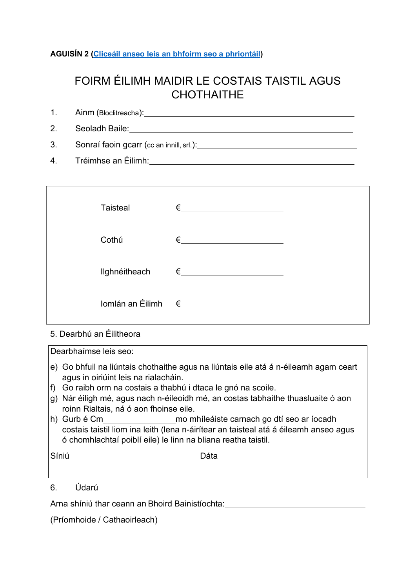### **AGUISÍN 2 [\(Cliceáil anseo leis an bhfoirm seo a phriontáil\)](https://www.fssu.ie/app/uploads/2017/12/Travel-Subsistence-Claim-Form.pdf)**

# FOIRM ÉILIMH MAIDIR LE COSTAIS TAISTIL AGUS **CHOTHAITHE**

| 1. Ainm (Bloclitreacha):                    |
|---------------------------------------------|
| 2. Seoladh Baile:                           |
| 3. Sonraí faoin gcarr (cc an innill, srl.): |
| 4. Tréimhse an Éilimh:                      |

|       | <b>Taisteal</b>             | €          |  |
|-------|-----------------------------|------------|--|
| Cothú |                             | €          |  |
|       | Ilghnéitheach               | $\epsilon$ |  |
|       | Iomlán an Éilimh $\epsilon$ |            |  |

# 5. Dearbhú an Éilitheora

Dearbhaímse leis seo:

- e) Go bhfuil na liúntais chothaithe agus na liúntais eile atá á n-éileamh agam ceart agus in oiriúint leis na rialacháin.
- f) Go raibh orm na costais a thabhú i dtaca le gnó na scoile.
- g) Nár éiligh mé, agus nach n-éileoidh mé, an costas tabhaithe thuasluaite ó aon roinn Rialtais, ná ó aon fhoinse eile.
- h) Gurb é Cm mo mhíleáiste carnach go dtí seo ar íocadh costais taistil liom ina leith (lena n-áirítear an taisteal atá á éileamh anseo agus ó chomhlachtaí poiblí eile) le linn na bliana reatha taistil.

| Síniú<br>$\sim$ …… | ๋ |
|--------------------|---|
|                    |   |

6. Údarú

Arna shíniú thar ceann an Bhoird Bainistíochta:

(Príomhoide / Cathaoirleach)